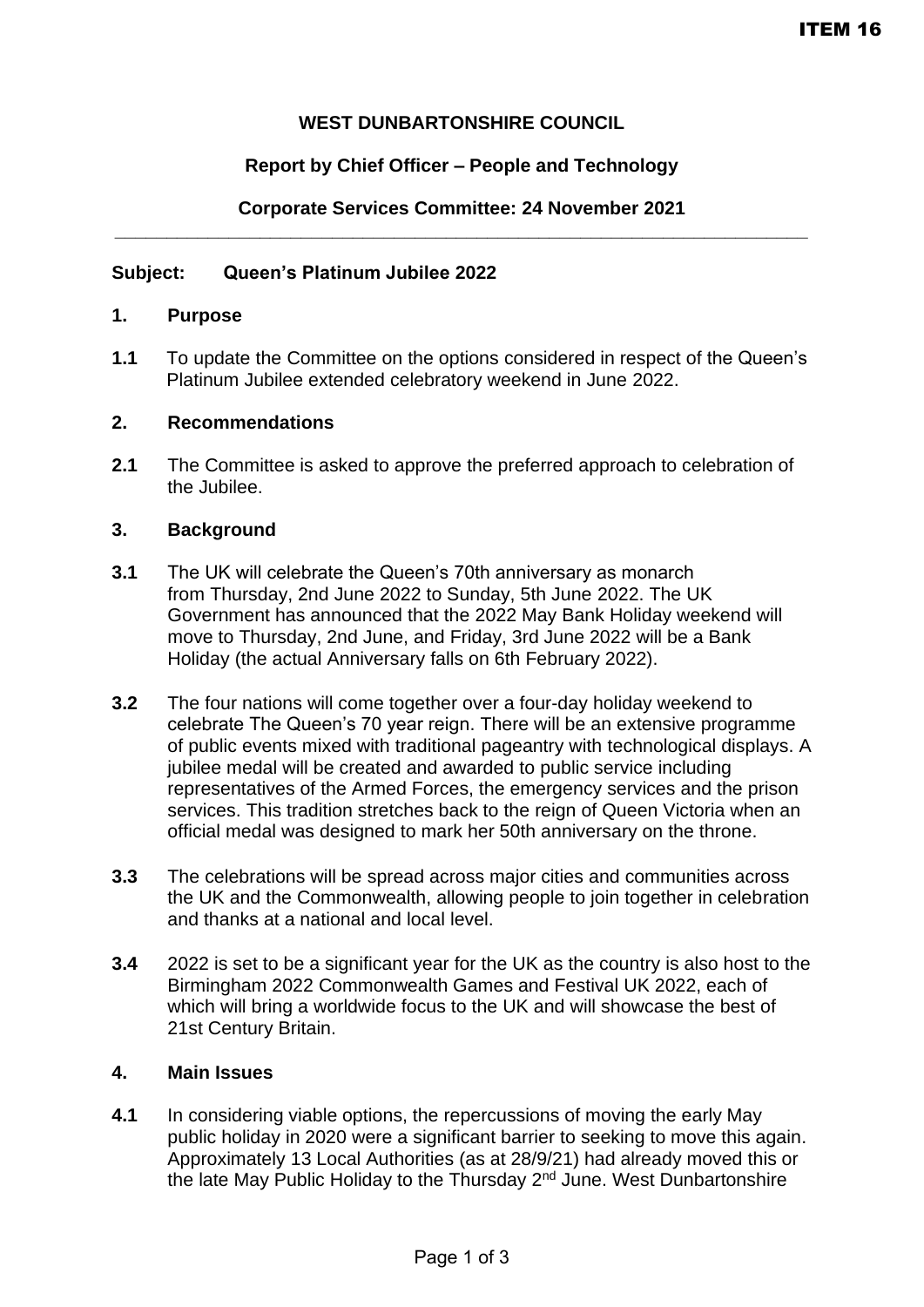## **WEST DUNBARTONSHIRE COUNCIL**

## **Report by Chief Officer – People and Technology**

## **Corporate Services Committee: 24 November 2021 \_\_\_\_\_\_\_\_\_\_\_\_\_\_\_\_\_\_\_\_\_\_\_\_\_\_\_\_\_\_\_\_\_\_\_\_\_\_\_\_\_\_\_\_\_\_\_\_\_\_\_\_\_\_\_\_\_\_\_\_\_\_\_\_\_\_\_**

### **Subject: Queen's Platinum Jubilee 2022**

#### **1. Purpose**

**1.1** To update the Committee on the options considered in respect of the Queen's Platinum Jubilee extended celebratory weekend in June 2022.

### **2. Recommendations**

**2.1** The Committee is asked to approve the preferred approach to celebration of the Jubilee.

### **3. Background**

- **3.1** The UK will celebrate the Queen's 70th anniversary as monarch from Thursday, 2nd June 2022 to Sunday, 5th June 2022. The UK Government has announced that the 2022 May Bank Holiday weekend will move to Thursday, 2nd June, and Friday, 3rd June 2022 will be a Bank Holiday (the actual Anniversary falls on 6th February 2022).
- **3.2** The four nations will come together over a four-day holiday weekend to celebrate The Queen's 70 year reign. There will be an extensive programme of public events mixed with traditional pageantry with technological displays. A jubilee medal will be created and awarded to public service including representatives of the Armed Forces, the emergency services and the prison services. This tradition stretches back to the reign of Queen Victoria when an official medal was designed to mark her 50th anniversary on the throne.
- **3.3** The celebrations will be spread across major cities and communities across the UK and the Commonwealth, allowing people to join together in celebration and thanks at a national and local level.
- **3.4** 2022 is set to be a significant year for the UK as the country is also host to the Birmingham 2022 Commonwealth Games and Festival UK 2022, each of which will bring a worldwide focus to the UK and will showcase the best of 21st Century Britain.

### **4. Main Issues**

**4.1** In considering viable options, the repercussions of moving the early May public holiday in 2020 were a significant barrier to seeking to move this again. Approximately 13 Local Authorities (as at 28/9/21) had already moved this or the late May Public Holiday to the Thursday 2<sup>nd</sup> June. West Dunbartonshire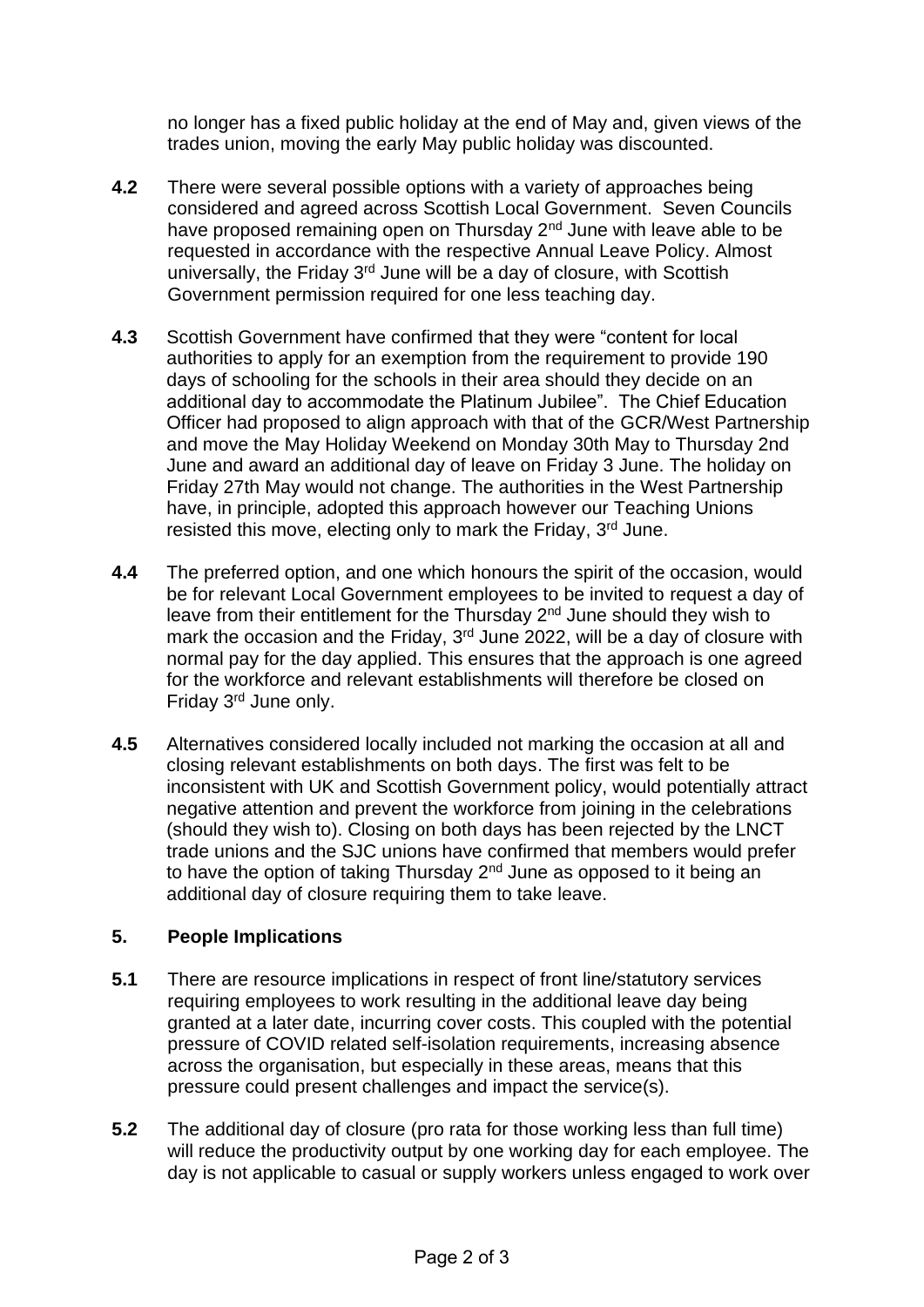no longer has a fixed public holiday at the end of May and, given views of the trades union, moving the early May public holiday was discounted.

- **4.2** There were several possible options with a variety of approaches being considered and agreed across Scottish Local Government. Seven Councils have proposed remaining open on Thursday 2<sup>nd</sup> June with leave able to be requested in accordance with the respective Annual Leave Policy. Almost universally, the Friday 3<sup>rd</sup> June will be a day of closure, with Scottish Government permission required for one less teaching day.
- **4.3** Scottish Government have confirmed that they were "content for local authorities to apply for an exemption from the requirement to provide 190 days of schooling for the schools in their area should they decide on an additional day to accommodate the Platinum Jubilee". The Chief Education Officer had proposed to align approach with that of the GCR/West Partnership and move the May Holiday Weekend on Monday 30th May to Thursday 2nd June and award an additional day of leave on Friday 3 June. The holiday on Friday 27th May would not change. The authorities in the West Partnership have, in principle, adopted this approach however our Teaching Unions resisted this move, electing only to mark the Friday, 3<sup>rd</sup> June.
- **4.4** The preferred option, and one which honours the spirit of the occasion, would be for relevant Local Government employees to be invited to request a day of leave from their entitlement for the Thursday  $2<sup>nd</sup>$  June should they wish to mark the occasion and the Friday, 3<sup>rd</sup> June 2022, will be a day of closure with normal pay for the day applied. This ensures that the approach is one agreed for the workforce and relevant establishments will therefore be closed on Friday 3rd June only.
- **4.5** Alternatives considered locally included not marking the occasion at all and closing relevant establishments on both days. The first was felt to be inconsistent with UK and Scottish Government policy, would potentially attract negative attention and prevent the workforce from joining in the celebrations (should they wish to). Closing on both days has been rejected by the LNCT trade unions and the SJC unions have confirmed that members would prefer to have the option of taking Thursday 2<sup>nd</sup> June as opposed to it being an additional day of closure requiring them to take leave.

# **5. People Implications**

- **5.1** There are resource implications in respect of front line/statutory services requiring employees to work resulting in the additional leave day being granted at a later date, incurring cover costs. This coupled with the potential pressure of COVID related self-isolation requirements, increasing absence across the organisation, but especially in these areas, means that this pressure could present challenges and impact the service(s).
- **5.2** The additional day of closure (pro rata for those working less than full time) will reduce the productivity output by one working day for each employee. The day is not applicable to casual or supply workers unless engaged to work over